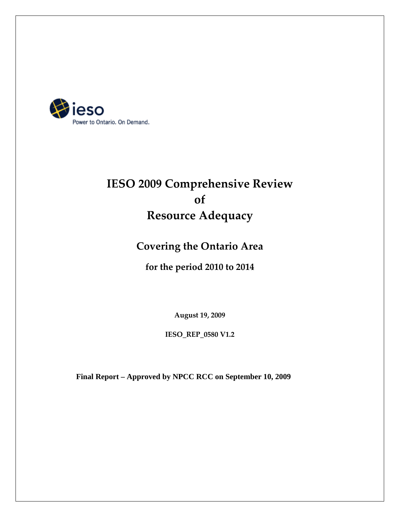

# **IESO 2009 Comprehensive Review of Resource Adequacy**

**Covering the Ontario Area**

**for the period 2010 to 2014**

**August 19, 2009**

**IESO\_REP\_0580 V1.2**

**Final Report – Approved by NPCC RCC on September 10, 2009**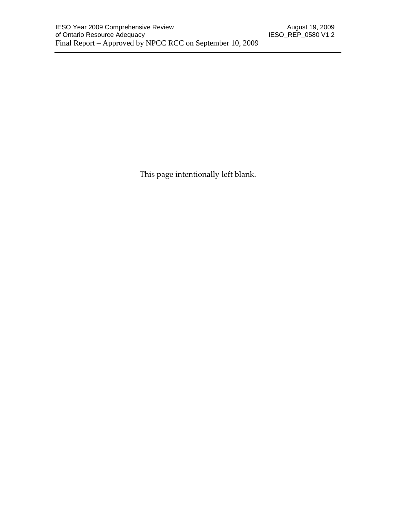This page intentionally left blank.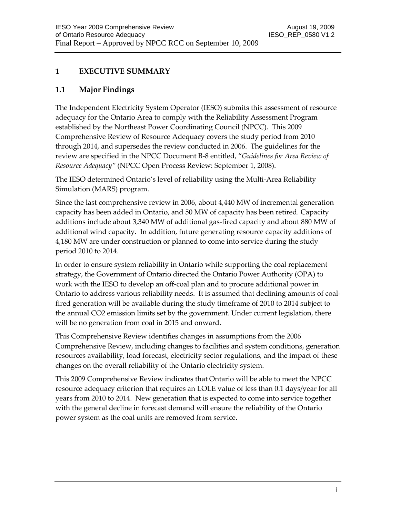#### **1 EXECUTIVE SUMMARY**

#### **1.1 Major Findings**

The Independent Electricity System Operator (IESO) submits this assessment of resource adequacy for the Ontario Area to comply with the Reliability Assessment Program established by the Northeast Power Coordinating Council (NPCC). This 2009 Comprehensive Review of Resource Adequacy covers the study period from 2010 through 2014, and supersedes the review conducted in 2006. The guidelines for the review are specified in the NPCC Document B-8 entitled, "*Guidelines for Area Review of Resource Adequacy"* (NPCC Open Process Review: September 1, 2008).

The IESO determined Ontario's level of reliability using the Multi-Area Reliability Simulation (MARS) program.

Since the last comprehensive review in 2006, about 4,440 MW of incremental generation capacity has been added in Ontario, and 50 MW of capacity has been retired. Capacity additions include about 3,340 MW of additional gas-fired capacity and about 880 MW of additional wind capacity. In addition, future generating resource capacity additions of 4,180 MW are under construction or planned to come into service during the study period 2010 to 2014.

In order to ensure system reliability in Ontario while supporting the coal replacement strategy, the Government of Ontario directed the Ontario Power Authority (OPA) to work with the IESO to develop an off-coal plan and to procure additional power in Ontario to address various reliability needs. It is assumed that declining amounts of coalfired generation will be available during the study timeframe of 2010 to 2014 subject to the annual CO2 emission limits set by the government. Under current legislation, there will be no generation from coal in 2015 and onward.

This Comprehensive Review identifies changes in assumptions from the 2006 Comprehensive Review, including changes to facilities and system conditions, generation resources availability, load forecast, electricity sector regulations, and the impact of these changes on the overall reliability of the Ontario electricity system.

This 2009 Comprehensive Review indicates that Ontario will be able to meet the NPCC resource adequacy criterion that requires an LOLE value of less than 0.1 days/year for all years from 2010 to 2014. New generation that is expected to come into service together with the general decline in forecast demand will ensure the reliability of the Ontario power system as the coal units are removed from service.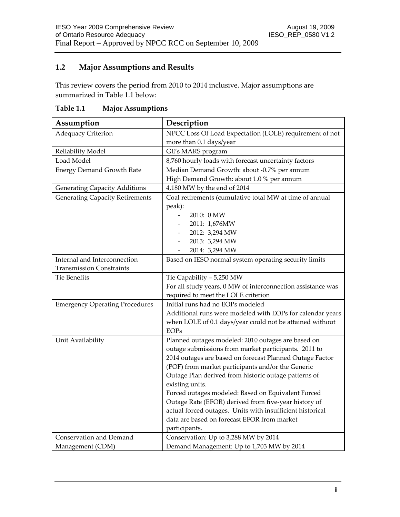## **1.2 Major Assumptions and Results**

This review covers the period from 2010 to 2014 inclusive. Major assumptions are summarized in Table 1.1 below:

| Assumption                             | Description                                                                        |
|----------------------------------------|------------------------------------------------------------------------------------|
| <b>Adequacy Criterion</b>              | NPCC Loss Of Load Expectation (LOLE) requirement of not<br>more than 0.1 days/year |
| Reliability Model                      | GE's MARS program                                                                  |
| Load Model                             | 8,760 hourly loads with forecast uncertainty factors                               |
| <b>Energy Demand Growth Rate</b>       | Median Demand Growth: about -0.7% per annum                                        |
|                                        | High Demand Growth: about 1.0 % per annum                                          |
| <b>Generating Capacity Additions</b>   | 4,180 MW by the end of 2014                                                        |
| <b>Generating Capacity Retirements</b> | Coal retirements (cumulative total MW at time of annual                            |
|                                        | peak):                                                                             |
|                                        | 2010: 0 MW                                                                         |
|                                        | 2011: 1,676MW                                                                      |
|                                        | 2012: 3,294 MW                                                                     |
|                                        | 2013: 3,294 MW                                                                     |
|                                        | 2014: 3,294 MW                                                                     |
| Internal and Interconnection           | Based on IESO normal system operating security limits                              |
| <b>Transmission Constraints</b>        |                                                                                    |
| <b>Tie Benefits</b>                    | Tie Capability = 5,250 MW                                                          |
|                                        | For all study years, 0 MW of interconnection assistance was                        |
|                                        | required to meet the LOLE criterion                                                |
| <b>Emergency Operating Procedures</b>  | Initial runs had no EOPs modeled                                                   |
|                                        | Additional runs were modeled with EOPs for calendar years                          |
|                                        | when LOLE of 0.1 days/year could not be attained without<br><b>EOPs</b>            |
| Unit Availability                      | Planned outages modeled: 2010 outages are based on                                 |
|                                        | outage submissions from market participants. 2011 to                               |
|                                        | 2014 outages are based on forecast Planned Outage Factor                           |
|                                        | (POF) from market participants and/or the Generic                                  |
|                                        | Outage Plan derived from historic outage patterns of                               |
|                                        | existing units.                                                                    |
|                                        | Forced outages modeled: Based on Equivalent Forced                                 |
|                                        | Outage Rate (EFOR) derived from five-year history of                               |
|                                        | actual forced outages. Units with insufficient historical                          |
|                                        | data are based on forecast EFOR from market                                        |
|                                        | participants.                                                                      |
| Conservation and Demand                | Conservation: Up to 3,288 MW by 2014                                               |
| Management (CDM)                       | Demand Management: Up to 1,703 MW by 2014                                          |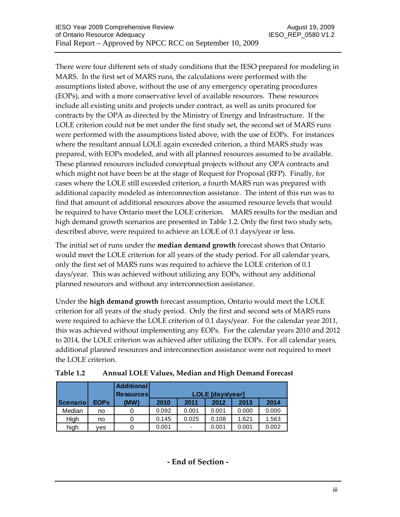There were four different sets of study conditions that the IESO prepared for modeling in MARS. In the first set of MARS runs, the calculations were performed with the assumptions listed above, without the use of any emergency operating procedures (EOPs), and with a more conservative level of available resources. These resources include all existing units and projects under contract, as well as units procured for contracts by the OPA as directed by the Ministry of Energy and Infrastructure. If the LOLE criterion could not be met under the first study set, the second set of MARS runs were performed with the assumptions listed above, with the use of EOPs. For instances where the resultant annual LOLE again exceeded criterion, a third MARS study was prepared, with EOPs modeled, and with all planned resources assumed to be available. These planned resources included conceptual projects without any OPA contracts and which might not have been be at the stage of Request for Proposal (RFP). Finally, for cases where the LOLE still exceeded criterion, a fourth MARS run was prepared with additional capacity modeled as interconnection assistance. The intent of this run was to find that amount of additional resources above the assumed resource levels that would be required to have Ontario meet the LOLE criterion. MARS results for the median and high demand growth scenarios are presented in Table 1.2. Only the first two study sets, described above, were required to achieve an LOLE of 0.1 days/year or less.

The initial set of runs under the **median demand growth** forecast shows that Ontario would meet the LOLE criterion for all years of the study period. For all calendar years, only the first set of MARS runs was required to achieve the LOLE criterion of 0.1 days/year. This was achieved without utilizing any EOPs, without any additional planned resources and without any interconnection assistance.

Under the **high demand growth** forecast assumption, Ontario would meet the LOLE criterion for all years of the study period. Only the first and second sets of MARS runs were required to achieve the LOLE criterion of 0.1 days/year. For the calendar year 2011, this was achieved without implementing any EOPs. For the calendar years 2010 and 2012 to 2014, the LOLE criterion was achieved after utilizing the EOPs. For all calendar years, additional planned resources and interconnection assistance were not required to meet the LOLE criterion.

|                 |             | <b>Additional</b><br><b>Resources</b> | LOLE [days/year] |                          |       |       |       |
|-----------------|-------------|---------------------------------------|------------------|--------------------------|-------|-------|-------|
| <b>Scenario</b> | <b>EOPs</b> | (MW)                                  | 2010             | 2011                     | 2012  | 2013  | 2014  |
| Median          | no          |                                       | 0.092            | 0.001                    | 0.001 | 0.000 | 0.000 |
| High            | no          |                                       | 0.145            | 0.025                    | 0.108 | 1.621 | 1.563 |
| high            | ves         |                                       | 0.001            | $\overline{\phantom{a}}$ | 0.001 | 0.001 | 0.002 |

| Table 1.2 | Annual LOLE Values, Median and High Demand Forecast |
|-----------|-----------------------------------------------------|
|-----------|-----------------------------------------------------|

**- End of Section -**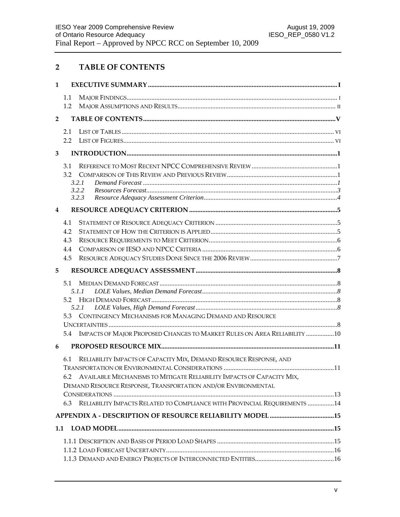## **2 TABLE OF CONTENTS**

| 1.1<br>1.2<br>$\overline{2}$<br>2.1<br>2.2<br>3<br>3.1<br>3.2<br>3.2.1<br>3.2.2<br>3.2.3<br>4<br>4.1<br>4.2<br>4.3<br>4.4<br>4.5<br>5<br>5.1<br>5.1.1<br>5.2<br>5.2.1<br>CONTINGENCY MECHANISMS FOR MANAGING DEMAND AND RESOURCE<br>5.3<br>IMPACTS OF MAJOR PROPOSED CHANGES TO MARKET RULES ON AREA RELIABILITY 10<br>5.4<br>6<br>RELIABILITY IMPACTS OF CAPACITY MIX, DEMAND RESOURCE RESPONSE, AND<br>6.1<br>AVAILABLE MECHANISMS TO MITIGATE RELIABILITY IMPACTS OF CAPACITY MIX,<br>6.2<br>DEMAND RESOURCE RESPONSE, TRANSPORTATION AND/OR ENVIRONMENTAL<br>RELIABILITY IMPACTS RELATED TO COMPLIANCE WITH PROVINCIAL REQUIREMENTS 14<br>6.3<br>1.1 | 1 |  |
|----------------------------------------------------------------------------------------------------------------------------------------------------------------------------------------------------------------------------------------------------------------------------------------------------------------------------------------------------------------------------------------------------------------------------------------------------------------------------------------------------------------------------------------------------------------------------------------------------------------------------------------------------------|---|--|
|                                                                                                                                                                                                                                                                                                                                                                                                                                                                                                                                                                                                                                                          |   |  |
|                                                                                                                                                                                                                                                                                                                                                                                                                                                                                                                                                                                                                                                          |   |  |
|                                                                                                                                                                                                                                                                                                                                                                                                                                                                                                                                                                                                                                                          |   |  |
|                                                                                                                                                                                                                                                                                                                                                                                                                                                                                                                                                                                                                                                          |   |  |
|                                                                                                                                                                                                                                                                                                                                                                                                                                                                                                                                                                                                                                                          |   |  |
|                                                                                                                                                                                                                                                                                                                                                                                                                                                                                                                                                                                                                                                          |   |  |
|                                                                                                                                                                                                                                                                                                                                                                                                                                                                                                                                                                                                                                                          |   |  |
|                                                                                                                                                                                                                                                                                                                                                                                                                                                                                                                                                                                                                                                          |   |  |
|                                                                                                                                                                                                                                                                                                                                                                                                                                                                                                                                                                                                                                                          |   |  |
|                                                                                                                                                                                                                                                                                                                                                                                                                                                                                                                                                                                                                                                          |   |  |
|                                                                                                                                                                                                                                                                                                                                                                                                                                                                                                                                                                                                                                                          |   |  |
|                                                                                                                                                                                                                                                                                                                                                                                                                                                                                                                                                                                                                                                          |   |  |
|                                                                                                                                                                                                                                                                                                                                                                                                                                                                                                                                                                                                                                                          |   |  |
|                                                                                                                                                                                                                                                                                                                                                                                                                                                                                                                                                                                                                                                          |   |  |
|                                                                                                                                                                                                                                                                                                                                                                                                                                                                                                                                                                                                                                                          |   |  |
|                                                                                                                                                                                                                                                                                                                                                                                                                                                                                                                                                                                                                                                          |   |  |
|                                                                                                                                                                                                                                                                                                                                                                                                                                                                                                                                                                                                                                                          |   |  |
|                                                                                                                                                                                                                                                                                                                                                                                                                                                                                                                                                                                                                                                          |   |  |
|                                                                                                                                                                                                                                                                                                                                                                                                                                                                                                                                                                                                                                                          |   |  |
|                                                                                                                                                                                                                                                                                                                                                                                                                                                                                                                                                                                                                                                          |   |  |
|                                                                                                                                                                                                                                                                                                                                                                                                                                                                                                                                                                                                                                                          |   |  |
|                                                                                                                                                                                                                                                                                                                                                                                                                                                                                                                                                                                                                                                          |   |  |
|                                                                                                                                                                                                                                                                                                                                                                                                                                                                                                                                                                                                                                                          |   |  |
|                                                                                                                                                                                                                                                                                                                                                                                                                                                                                                                                                                                                                                                          |   |  |
|                                                                                                                                                                                                                                                                                                                                                                                                                                                                                                                                                                                                                                                          |   |  |
|                                                                                                                                                                                                                                                                                                                                                                                                                                                                                                                                                                                                                                                          |   |  |
|                                                                                                                                                                                                                                                                                                                                                                                                                                                                                                                                                                                                                                                          |   |  |
|                                                                                                                                                                                                                                                                                                                                                                                                                                                                                                                                                                                                                                                          |   |  |
|                                                                                                                                                                                                                                                                                                                                                                                                                                                                                                                                                                                                                                                          |   |  |
|                                                                                                                                                                                                                                                                                                                                                                                                                                                                                                                                                                                                                                                          |   |  |
|                                                                                                                                                                                                                                                                                                                                                                                                                                                                                                                                                                                                                                                          |   |  |
|                                                                                                                                                                                                                                                                                                                                                                                                                                                                                                                                                                                                                                                          |   |  |
|                                                                                                                                                                                                                                                                                                                                                                                                                                                                                                                                                                                                                                                          |   |  |
|                                                                                                                                                                                                                                                                                                                                                                                                                                                                                                                                                                                                                                                          |   |  |
|                                                                                                                                                                                                                                                                                                                                                                                                                                                                                                                                                                                                                                                          |   |  |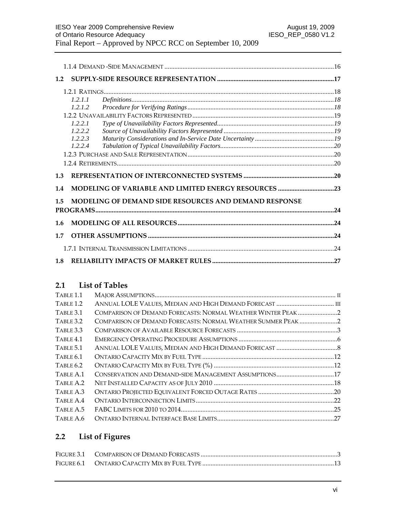| 1.2 |                                                              |  |
|-----|--------------------------------------------------------------|--|
|     |                                                              |  |
|     | 1.2.1.1                                                      |  |
|     | 1.2.1.2                                                      |  |
|     |                                                              |  |
|     | 1.2.2.1                                                      |  |
|     | 1.2.2.2                                                      |  |
|     | 1.2.2.3                                                      |  |
|     | 1.2.2.4                                                      |  |
|     |                                                              |  |
|     |                                                              |  |
|     |                                                              |  |
| 1.3 |                                                              |  |
| 1.4 |                                                              |  |
| 1.5 |                                                              |  |
|     | <b>MODELING OF DEMAND SIDE RESOURCES AND DEMAND RESPONSE</b> |  |
| 1.6 |                                                              |  |
| 1.7 |                                                              |  |
|     |                                                              |  |
|     |                                                              |  |

#### **2.1 List of Tables**

| TABLE <sub>1.1</sub> |                                                             |  |
|----------------------|-------------------------------------------------------------|--|
| TABLE <sub>1.2</sub> |                                                             |  |
| TABLE 3.1            | COMPARISON OF DEMAND FORECASTS: NORMAL WEATHER WINTER PEAK2 |  |
| TABLE 3.2            |                                                             |  |
| TABLE 3.3            |                                                             |  |
| TABLE 4.1            |                                                             |  |
| TABLE 5.1            |                                                             |  |
| TABLE 6.1            |                                                             |  |
| TABLE <sub>6.2</sub> |                                                             |  |
| TABLE A.1            |                                                             |  |
| TABLE A.2            |                                                             |  |
| TABLE A.3            |                                                             |  |
| TABLE A.4            |                                                             |  |
| TABLE A.5            |                                                             |  |
| TABLE A.6            |                                                             |  |
|                      |                                                             |  |

# **2.2 List of Figures**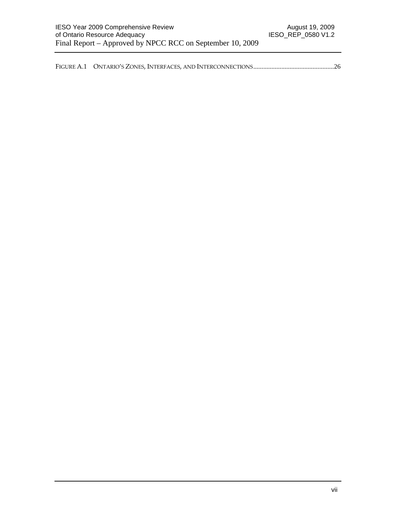FIGURE A.1 ONTARIO'S ZONES, INTERFACES, AND INTERCONNECTIONS.................................................26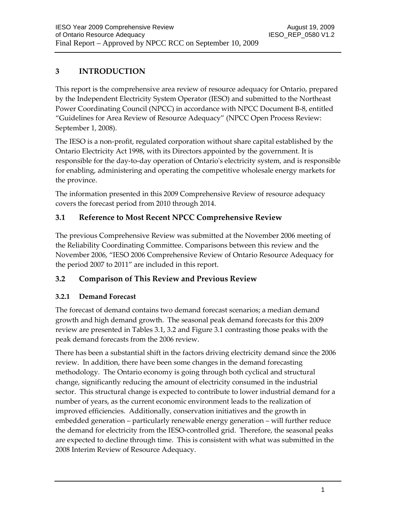#### **3 INTRODUCTION**

This report is the comprehensive area review of resource adequacy for Ontario, prepared by the Independent Electricity System Operator (IESO) and submitted to the Northeast Power Coordinating Council (NPCC) in accordance with NPCC Document B-8, entitled "Guidelines for Area Review of Resource Adequacy" (NPCC Open Process Review: September 1, 2008).

The IESO is a non-profit, regulated corporation without share capital established by the Ontario Electricity Act 1998, with its Directors appointed by the government. It is responsible for the day-to-day operation of Ontario's electricity system, and is responsible for enabling, administering and operating the competitive wholesale energy markets for the province.

The information presented in this 2009 Comprehensive Review of resource adequacy covers the forecast period from 2010 through 2014.

#### **3.1 Reference to Most Recent NPCC Comprehensive Review**

The previous Comprehensive Review was submitted at the November 2006 meeting of the Reliability Coordinating Committee. Comparisons between this review and the November 2006, "IESO 2006 Comprehensive Review of Ontario Resource Adequacy for the period 2007 to 2011" are included in this report.

#### **3.2 Comparison of This Review and Previous Review**

#### **3.2.1 Demand Forecast**

The forecast of demand contains two demand forecast scenarios; a median demand growth and high demand growth. The seasonal peak demand forecasts for this 2009 review are presented in Tables 3.1, 3.2 and Figure 3.1 contrasting those peaks with the peak demand forecasts from the 2006 review.

There has been a substantial shift in the factors driving electricity demand since the 2006 review. In addition, there have been some changes in the demand forecasting methodology. The Ontario economy is going through both cyclical and structural change, significantly reducing the amount of electricity consumed in the industrial sector. This structural change is expected to contribute to lower industrial demand for a number of years, as the current economic environment leads to the realization of improved efficiencies. Additionally, conservation initiatives and the growth in embedded generation – particularly renewable energy generation – will further reduce the demand for electricity from the IESO-controlled grid. Therefore, the seasonal peaks are expected to decline through time. This is consistent with what was submitted in the 2008 Interim Review of Resource Adequacy.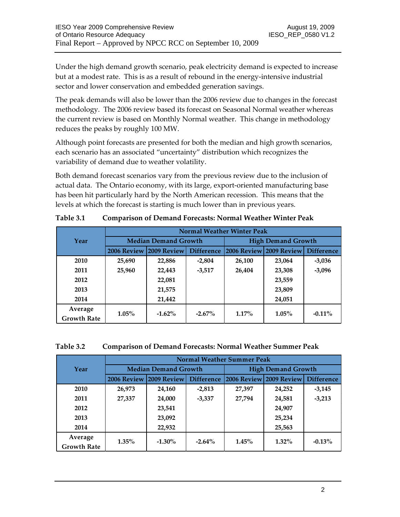Under the high demand growth scenario, peak electricity demand is expected to increase but at a modest rate. This is as a result of rebound in the energy-intensive industrial sector and lower conservation and embedded generation savings.

The peak demands will also be lower than the 2006 review due to changes in the forecast methodology. The 2006 review based its forecast on Seasonal Normal weather whereas the current review is based on Monthly Normal weather. This change in methodology reduces the peaks by roughly 100 MW.

Although point forecasts are presented for both the median and high growth scenarios, each scenario has an associated "uncertainty" distribution which recognizes the variability of demand due to weather volatility.

Both demand forecast scenarios vary from the previous review due to the inclusion of actual data. The Ontario economy, with its large, export-oriented manufacturing base has been hit particularly hard by the North American recession. This means that the levels at which the forecast is starting is much lower than in previous years.

|                    | <b>Normal Weather Winter Peak</b> |                    |                   |                           |                         |                   |  |
|--------------------|-----------------------------------|--------------------|-------------------|---------------------------|-------------------------|-------------------|--|
| Year               | <b>Median Demand Growth</b>       |                    |                   | <b>High Demand Growth</b> |                         |                   |  |
|                    | 2006 Review                       | <b>2009 Review</b> | <b>Difference</b> |                           | 2006 Review 2009 Review | <b>Difference</b> |  |
| 2010               | 25,690                            | 22,886             | $-2,804$          | 26,100                    | 23,064                  | $-3,036$          |  |
| 2011               | 25,960                            | 22,443             | $-3,517$          | 26,404                    | 23,308                  | $-3,096$          |  |
| 2012               |                                   | 22,081             |                   |                           | 23,559                  |                   |  |
| 2013               |                                   | 21,575             |                   |                           | 23,809                  |                   |  |
| 2014               |                                   | 21,442             |                   |                           | 24,051                  |                   |  |
| Average            | $1.05\%$                          | $-1.62\%$          | $-2.67\%$         | $1.17\%$                  | $1.05\%$                | $-0.11\%$         |  |
| <b>Growth Rate</b> |                                   |                    |                   |                           |                         |                   |  |

**Table 3.1 Comparison of Demand Forecasts: Normal Weather Winter Peak**

| Table 3.2 | <b>Comparison of Demand Forecasts: Normal Weather Summer Peak</b> |
|-----------|-------------------------------------------------------------------|
|           |                                                                   |

|                    | Normal Weather Summer Peak  |                         |                   |                           |                                    |                   |  |
|--------------------|-----------------------------|-------------------------|-------------------|---------------------------|------------------------------------|-------------------|--|
| Year               | <b>Median Demand Growth</b> |                         |                   | <b>High Demand Growth</b> |                                    |                   |  |
|                    |                             | 2006 Review 2009 Review | <b>Difference</b> |                           | <b>2006 Review   2009 Review  </b> | <b>Difference</b> |  |
| 2010               | 26,973                      | 24,160                  | $-2,813$          | 27,397                    | 24,252                             | $-3,145$          |  |
| 2011               | 27,337                      | 24,000                  | $-3,337$          | 27,794                    | 24,581                             | $-3,213$          |  |
| 2012               |                             | 23,541                  |                   |                           | 24,907                             |                   |  |
| 2013               |                             | 23,092                  |                   |                           | 25,234                             |                   |  |
| 2014               |                             | 22,932                  |                   |                           | 25,563                             |                   |  |
| Average            | $1.35\%$                    | $-1.30\%$               | $-2.64\%$         | $1.45\%$                  | $1.32\%$                           | $-0.13%$          |  |
| <b>Growth Rate</b> |                             |                         |                   |                           |                                    |                   |  |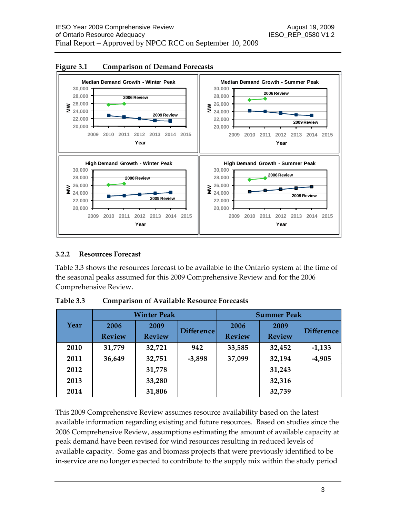



#### **3.2.2 Resources Forecast**

Table 3.3 shows the resources forecast to be available to the Ontario system at the time of the seasonal peaks assumed for this 2009 Comprehensive Review and for the 2006 Comprehensive Review.

|      |               | <b>Winter Peak</b> |                   | <b>Summer Peak</b> |               |                   |  |
|------|---------------|--------------------|-------------------|--------------------|---------------|-------------------|--|
| Year | 2006          | 2009               | <b>Difference</b> | 2006               | 2009          | <b>Difference</b> |  |
|      | <b>Review</b> | <b>Review</b>      |                   | <b>Review</b>      | <b>Review</b> |                   |  |
| 2010 | 31,779        | 32,721             | 942               | 33,585             | 32,452        | $-1,133$          |  |
| 2011 | 36,649        | 32,751             | $-3,898$          | 37,099             | 32,194        | $-4,905$          |  |
| 2012 |               | 31,778             |                   |                    | 31,243        |                   |  |
| 2013 |               | 33,280             |                   |                    | 32,316        |                   |  |
| 2014 |               | 31,806             |                   |                    | 32,739        |                   |  |

**Table 3.3 Comparison of Available Resource Forecasts**

This 2009 Comprehensive Review assumes resource availability based on the latest available information regarding existing and future resources. Based on studies since the 2006 Comprehensive Review, assumptions estimating the amount of available capacity at peak demand have been revised for wind resources resulting in reduced levels of available capacity. Some gas and biomass projects that were previously identified to be in-service are no longer expected to contribute to the supply mix within the study period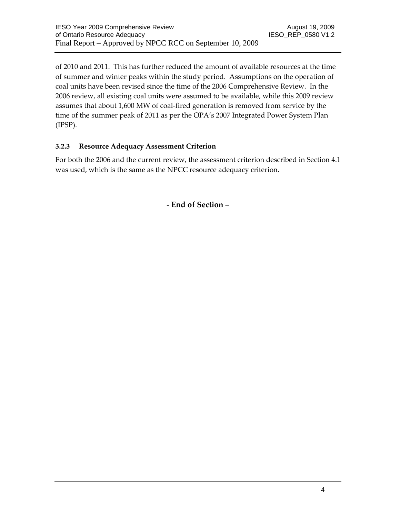of 2010 and 2011. This has further reduced the amount of available resources at the time of summer and winter peaks within the study period. Assumptions on the operation of coal units have been revised since the time of the 2006 Comprehensive Review. In the 2006 review, all existing coal units were assumed to be available, while this 2009 review assumes that about 1,600 MW of coal-fired generation is removed from service by the time of the summer peak of 2011 as per the OPA's 2007 Integrated Power System Plan (IPSP).

#### **3.2.3 Resource Adequacy Assessment Criterion**

For both the 2006 and the current review, the assessment criterion described in Section 4.1 was used, which is the same as the NPCC resource adequacy criterion.

**- End of Section –**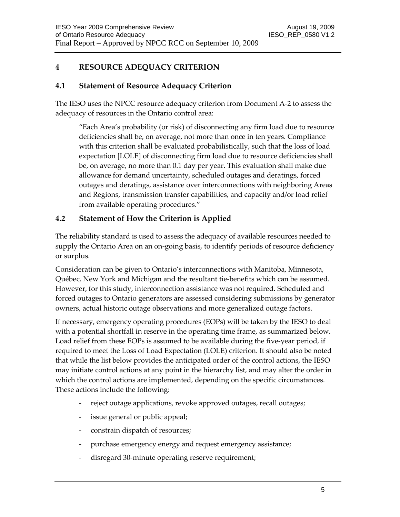#### **4 RESOURCE ADEQUACY CRITERION**

#### **4.1 Statement of Resource Adequacy Criterion**

The IESO uses the NPCC resource adequacy criterion from Document A-2 to assess the adequacy of resources in the Ontario control area:

"Each Area's probability (or risk) of disconnecting any firm load due to resource deficiencies shall be, on average, not more than once in ten years. Compliance with this criterion shall be evaluated probabilistically, such that the loss of load expectation [LOLE] of disconnecting firm load due to resource deficiencies shall be, on average, no more than 0.1 day per year. This evaluation shall make due allowance for demand uncertainty, scheduled outages and deratings, forced outages and deratings, assistance over interconnections with neighboring Areas and Regions, transmission transfer capabilities, and capacity and/or load relief from available operating procedures."

#### **4.2 Statement of How the Criterion is Applied**

The reliability standard is used to assess the adequacy of available resources needed to supply the Ontario Area on an on-going basis, to identify periods of resource deficiency or surplus.

Consideration can be given to Ontario's interconnections with Manitoba, Minnesota, Québec, New York and Michigan and the resultant tie-benefits which can be assumed. However, for this study, interconnection assistance was not required. Scheduled and forced outages to Ontario generators are assessed considering submissions by generator owners, actual historic outage observations and more generalized outage factors.

If necessary, emergency operating procedures (EOPs) will be taken by the IESO to deal with a potential shortfall in reserve in the operating time frame, as summarized below. Load relief from these EOPs is assumed to be available during the five-year period, if required to meet the Loss of Load Expectation (LOLE) criterion. It should also be noted that while the list below provides the anticipated order of the control actions, the IESO may initiate control actions at any point in the hierarchy list, and may alter the order in which the control actions are implemented, depending on the specific circumstances. These actions include the following:

- reject outage applications, revoke approved outages, recall outages;
- issue general or public appeal;
- constrain dispatch of resources;
- purchase emergency energy and request emergency assistance;
- disregard 30-minute operating reserve requirement;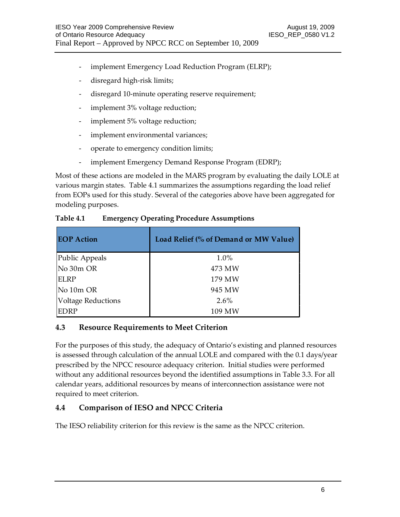- implement Emergency Load Reduction Program (ELRP);
- disregard high-risk limits;
- disregard 10-minute operating reserve requirement;
- implement 3% voltage reduction;
- implement 5% voltage reduction;
- implement environmental variances;
- operate to emergency condition limits;
- implement Emergency Demand Response Program (EDRP);

Most of these actions are modeled in the MARS program by evaluating the daily LOLE at various margin states. Table 4.1 summarizes the assumptions regarding the load relief from EOPs used for this study. Several of the categories above have been aggregated for modeling purposes.

| <b>EOP Action</b>  | Load Relief (% of Demand or MW Value) |
|--------------------|---------------------------------------|
| Public Appeals     | 1.0%                                  |
| No 30m OR          | 473 MW                                |
| EL RP              | 179 MW                                |
| No 10m OR          | 945 MW                                |
| Voltage Reductions | 2.6%                                  |
| EDRP               | 109 MW                                |

#### **Table 4.1 Emergency Operating Procedure Assumptions**

#### **4.3 Resource Requirements to Meet Criterion**

For the purposes of this study, the adequacy of Ontario's existing and planned resources is assessed through calculation of the annual LOLE and compared with the 0.1 days/year prescribed by the NPCC resource adequacy criterion. Initial studies were performed without any additional resources beyond the identified assumptions in Table 3.3. For all calendar years, additional resources by means of interconnection assistance were not required to meet criterion.

# **4.4 Comparison of IESO and NPCC Criteria**

The IESO reliability criterion for this review is the same as the NPCC criterion.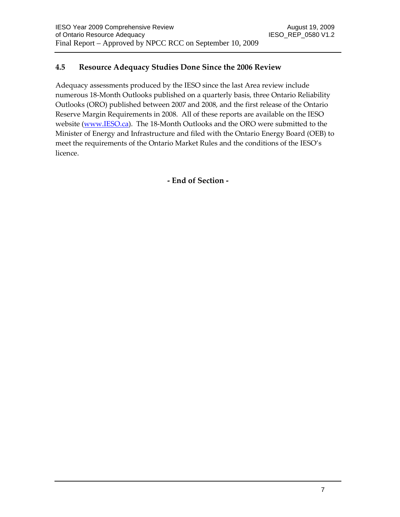#### **4.5 Resource Adequacy Studies Done Since the 2006 Review**

Adequacy assessments produced by the IESO since the last Area review include numerous 18-Month Outlooks published on a quarterly basis, three Ontario Reliability Outlooks (ORO) published between 2007 and 2008, and the first release of the Ontario Reserve Margin Requirements in 2008. All of these reports are available on the IESO website [\(www.IESO.ca\)](http://www.ieso.ca/imoweb/monthsYears/monthsAhead.asp). The 18-Month Outlooks and the ORO were submitted to the Minister of Energy and Infrastructure and filed with the Ontario Energy Board (OEB) to meet the requirements of the Ontario Market Rules and the conditions of the IESO's licence.

**- End of Section -**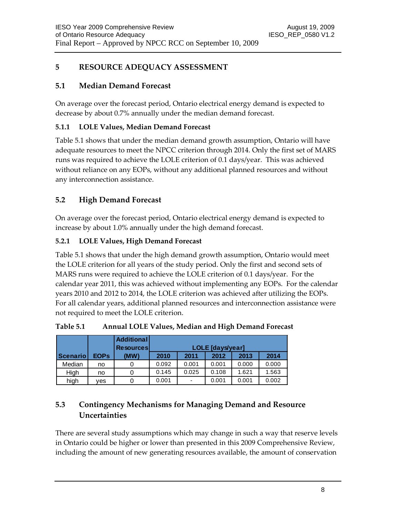## **5 RESOURCE ADEQUACY ASSESSMENT**

#### **5.1 Median Demand Forecast**

On average over the forecast period, Ontario electrical energy demand is expected to decrease by about 0.7% annually under the median demand forecast.

#### **5.1.1 LOLE Values, Median Demand Forecast**

Table 5.1 shows that under the median demand growth assumption, Ontario will have adequate resources to meet the NPCC criterion through 2014. Only the first set of MARS runs was required to achieve the LOLE criterion of 0.1 days/year. This was achieved without reliance on any EOPs, without any additional planned resources and without any interconnection assistance.

## **5.2 High Demand Forecast**

On average over the forecast period, Ontario electrical energy demand is expected to increase by about 1.0% annually under the high demand forecast.

#### **5.2.1 LOLE Values, High Demand Forecast**

Table 5.1 shows that under the high demand growth assumption, Ontario would meet the LOLE criterion for all years of the study period. Only the first and second sets of MARS runs were required to achieve the LOLE criterion of 0.1 days/year. For the calendar year 2011, this was achieved without implementing any EOPs. For the calendar years 2010 and 2012 to 2014, the LOLE criterion was achieved after utilizing the EOPs. For all calendar years, additional planned resources and interconnection assistance were not required to meet the LOLE criterion.

|                 |             | <b>Additional</b><br><b>Resources</b> |       |       | LOLE [days/year] |       |       |
|-----------------|-------------|---------------------------------------|-------|-------|------------------|-------|-------|
| <b>Scenario</b> | <b>EOPs</b> | (MW)                                  | 2010  | 2011  | 2012             | 2013  | 2014  |
| Median          | no          |                                       | 0.092 | 0.001 | 0.001            | 0.000 | 0.000 |
| High            | no          |                                       | 0.145 | 0.025 | 0.108            | 1.621 | 1.563 |
| high            | ves         |                                       | 0.001 | ٠     | 0.001            | 0.001 | 0.002 |

**Table 5.1 Annual LOLE Values, Median and High Demand Forecast**

# **5.3 Contingency Mechanisms for Managing Demand and Resource Uncertainties**

There are several study assumptions which may change in such a way that reserve levels in Ontario could be higher or lower than presented in this 2009 Comprehensive Review, including the amount of new generating resources available, the amount of conservation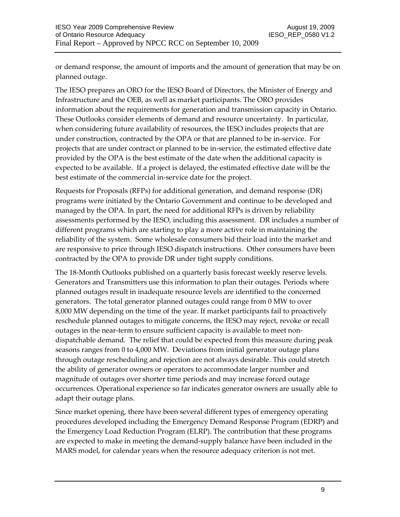or demand response, the amount of imports and the amount of generation that may be on planned outage.

The IESO prepares an ORO for the IESO Board of Directors, the Minister of Energy and Infrastructure and the OEB, as well as market participants. The ORO provides information about the requirements for generation and transmission capacity in Ontario. These Outlooks consider elements of demand and resource uncertainty. In particular, when considering future availability of resources, the IESO includes projects that are under construction, contracted by the OPA or that are planned to be in-service. For projects that are under contract or planned to be in-service, the estimated effective date provided by the OPA is the best estimate of the date when the additional capacity is expected to be available. If a project is delayed, the estimated effective date will be the best estimate of the commercial in-service date for the project.

Requests for Proposals (RFPs) for additional generation, and demand response (DR) programs were initiated by the Ontario Government and continue to be developed and managed by the OPA. In part, the need for additional RFPs is driven by reliability assessments performed by the IESO, including this assessment. DR includes a number of different programs which are starting to play a more active role in maintaining the reliability of the system. Some wholesale consumers bid their load into the market and are responsive to price through IESO dispatch instructions. Other consumers have been contracted by the OPA to provide DR under tight supply conditions.

The 18-Month Outlooks published on a quarterly basis forecast weekly reserve levels. Generators and Transmitters use this information to plan their outages. Periods where planned outages result in inadequate resource levels are identified to the concerned generators. The total generator planned outages could range from 0 MW to over 8,000 MW depending on the time of the year. If market participants fail to proactively reschedule planned outages to mitigate concerns, the IESO may reject, revoke or recall outages in the near-term to ensure sufficient capacity is available to meet nondispatchable demand. The relief that could be expected from this measure during peak seasons ranges from 0 to 4,000 MW. Deviations from initial generator outage plans through outage rescheduling and rejection are not always desirable. This could stretch the ability of generator owners or operators to accommodate larger number and magnitude of outages over shorter time periods and may increase forced outage occurrences. Operational experience so far indicates generator owners are usually able to adapt their outage plans.

Since market opening, there have been several different types of emergency operating procedures developed including the Emergency Demand Response Program (EDRP) and the Emergency Load Reduction Program (ELRP). The contribution that these programs are expected to make in meeting the demand-supply balance have been included in the MARS model, for calendar years when the resource adequacy criterion is not met.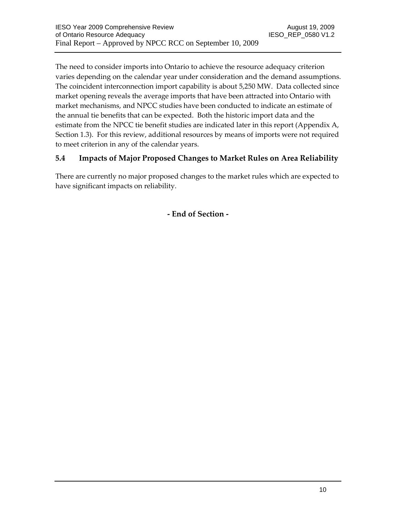The need to consider imports into Ontario to achieve the resource adequacy criterion varies depending on the calendar year under consideration and the demand assumptions. The coincident interconnection import capability is about 5,250 MW. Data collected since market opening reveals the average imports that have been attracted into Ontario with market mechanisms, and NPCC studies have been conducted to indicate an estimate of the annual tie benefits that can be expected. Both the historic import data and the estimate from the NPCC tie benefit studies are indicated later in this report (Appendix A, Section 1.3). For this review, additional resources by means of imports were not required to meet criterion in any of the calendar years.

## **5.4 Impacts of Major Proposed Changes to Market Rules on Area Reliability**

There are currently no major proposed changes to the market rules which are expected to have significant impacts on reliability.

**- End of Section -**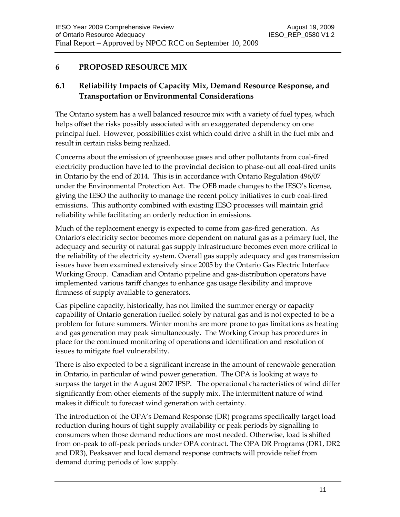#### **6 PROPOSED RESOURCE MIX**

## **6.1 Reliability Impacts of Capacity Mix, Demand Resource Response, and Transportation or Environmental Considerations**

The Ontario system has a well balanced resource mix with a variety of fuel types, which helps offset the risks possibly associated with an exaggerated dependency on one principal fuel. However, possibilities exist which could drive a shift in the fuel mix and result in certain risks being realized.

Concerns about the emission of greenhouse gases and other pollutants from coal-fired electricity production have led to the provincial decision to phase-out all coal-fired units in Ontario by the end of 2014. This is in accordance with Ontario Regulation 496/07 under the Environmental Protection Act. The OEB made changes to the IESO's license, giving the IESO the authority to manage the recent policy initiatives to curb coal-fired emissions. This authority combined with existing IESO processes will maintain grid reliability while facilitating an orderly reduction in emissions.

Much of the replacement energy is expected to come from gas-fired generation. As Ontario's electricity sector becomes more dependent on natural gas as a primary fuel, the adequacy and security of natural gas supply infrastructure becomes even more critical to the reliability of the electricity system. Overall gas supply adequacy and gas transmission issues have been examined extensively since 2005 by the Ontario Gas Electric Interface Working Group. Canadian and Ontario pipeline and gas-distribution operators have implemented various tariff changes to enhance gas usage flexibility and improve firmness of supply available to generators.

Gas pipeline capacity, historically, has not limited the summer energy or capacity capability of Ontario generation fuelled solely by natural gas and is not expected to be a problem for future summers. Winter months are more prone to gas limitations as heating and gas generation may peak simultaneously. The Working Group has procedures in place for the continued monitoring of operations and identification and resolution of issues to mitigate fuel vulnerability.

There is also expected to be a significant increase in the amount of renewable generation in Ontario, in particular of wind power generation. The OPA is looking at ways to surpass the target in the August 2007 IPSP. The operational characteristics of wind differ significantly from other elements of the supply mix. The intermittent nature of wind makes it difficult to forecast wind generation with certainty.

The introduction of the OPA's Demand Response (DR) programs specifically target load reduction during hours of tight supply availability or peak periods by signalling to consumers when those demand reductions are most needed. Otherwise, load is shifted from on-peak to off-peak periods under OPA contract. The OPA DR Programs (DR1, DR2 and DR3), Peaksaver and local demand response contracts will provide relief from demand during periods of low supply.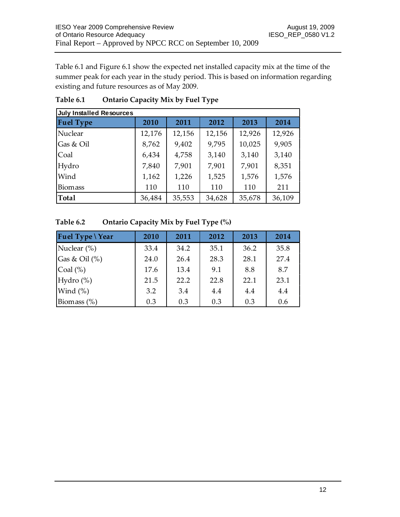| <b>July Installed Resources</b> |        |        |        |        |        |
|---------------------------------|--------|--------|--------|--------|--------|
| <b>Fuel Type</b>                | 2010   | 2011   | 2012   | 2013   | 2014   |
| Nuclear                         | 12,176 | 12,156 | 12,156 | 12,926 | 12,926 |
| Gas & Oil                       | 8,762  | 9,402  | 9,795  | 10,025 | 9,905  |
| Coal                            | 6,434  | 4,758  | 3,140  | 3,140  | 3,140  |
| Hydro                           | 7,840  | 7,901  | 7,901  | 7,901  | 8,351  |
| Wind                            | 1,162  | 1,226  | 1,525  | 1,576  | 1,576  |
| <b>Biomass</b>                  | 110    | 110    | 110    | 110    | 211    |
| <b>Total</b>                    | 36,484 | 35,553 | 34,628 | 35,678 | 36,109 |

## **Table 6.1 Ontario Capacity Mix by Fuel Type**

**Table 6.2 Ontario Capacity Mix by Fuel Type (%)**

| Fuel Type \Year  | 2010 | 2011 | 2012 | 2013 | 2014 |
|------------------|------|------|------|------|------|
| Nuclear (%)      | 33.4 | 34.2 | 35.1 | 36.2 | 35.8 |
| Gas & Oil $(\%)$ | 24.0 | 26.4 | 28.3 | 28.1 | 27.4 |
| Coal $(\%)$      | 17.6 | 13.4 | 9.1  | 8.8  | 8.7  |
| Hydro (%)        | 21.5 | 22.2 | 22.8 | 22.1 | 23.1 |
| Wind $(\%)$      | 3.2  | 3.4  | 4.4  | 4.4  | 4.4  |
| Biomass $(\%)$   | 0.3  | 0.3  | 0.3  | 0.3  | 0.6  |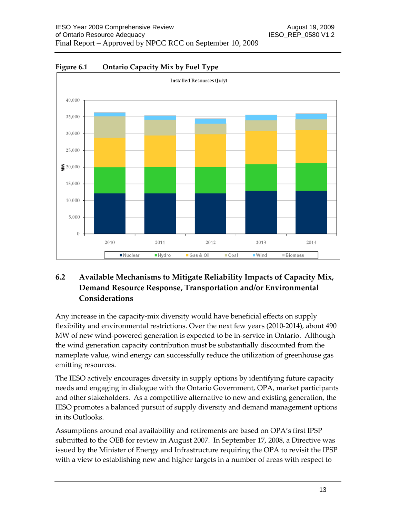

**Figure 6.1 Ontario Capacity Mix by Fuel Type**

## **6.2 Available Mechanisms to Mitigate Reliability Impacts of Capacity Mix, Demand Resource Response, Transportation and/or Environmental Considerations**

Any increase in the capacity-mix diversity would have beneficial effects on supply flexibility and environmental restrictions. Over the next few years (2010-2014), about 490 MW of new wind-powered generation is expected to be in-service in Ontario. Although the wind generation capacity contribution must be substantially discounted from the nameplate value, wind energy can successfully reduce the utilization of greenhouse gas emitting resources.

The IESO actively encourages diversity in supply options by identifying future capacity needs and engaging in dialogue with the Ontario Government, OPA, market participants and other stakeholders. As a competitive alternative to new and existing generation, the IESO promotes a balanced pursuit of supply diversity and demand management options in its Outlooks.

Assumptions around coal availability and retirements are based on OPA's first IPSP submitted to the OEB for review in August 2007. In September 17, 2008, a Directive was issued by the Minister of Energy and Infrastructure requiring the OPA to revisit the IPSP with a view to establishing new and higher targets in a number of areas with respect to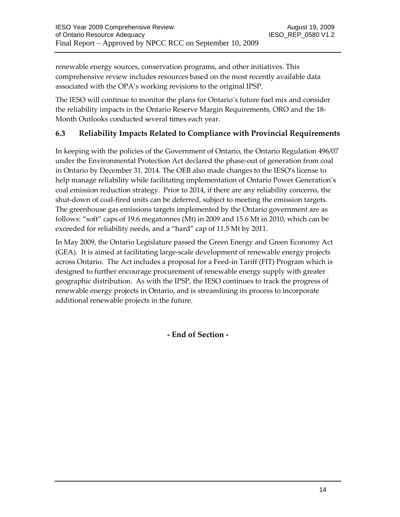renewable energy sources, conservation programs, and other initiatives. This comprehensive review includes resources based on the most recently available data associated with the OPA's working revisions to the original IPSP.

The IESO will continue to monitor the plans for Ontario's future fuel mix and consider the reliability impacts in the Ontario Reserve Margin Requirements, ORO and the 18- Month Outlooks conducted several times each year.

## **6.3 Reliability Impacts Related to Compliance with Provincial Requirements**

In keeping with the policies of the Government of Ontario, the Ontario Regulation 496/07 under the Environmental Protection Act declared the phase-out of generation from coal in Ontario by December 31, 2014. The OEB also made changes to the IESO's license to help manage reliability while facilitating implementation of Ontario Power Generation's coal emission reduction strategy. Prior to 2014, if there are any reliability concerns, the shut-down of coal-fired units can be deferred, subject to meeting the emission targets. The greenhouse gas emissions targets implemented by the Ontario government are as follows: "soft" caps of 19.6 megatonnes (Mt) in 2009 and 15.6 Mt in 2010, which can be exceeded for reliability needs, and a "hard" cap of 11.5 Mt by 2011.

In May 2009, the Ontario Legislature passed the Green Energy and Green Economy Act (GEA). It is aimed at facilitating large-scale development of renewable energy projects across Ontario. The Act includes a proposal for a Feed-in Tariff (FIT) Program which is designed to further encourage procurement of renewable energy supply with greater geographic distribution. As with the IPSP, the IESO continues to track the progress of renewable energy projects in Ontario, and is streamlining its process to incorporate additional renewable projects in the future.

**- End of Section -**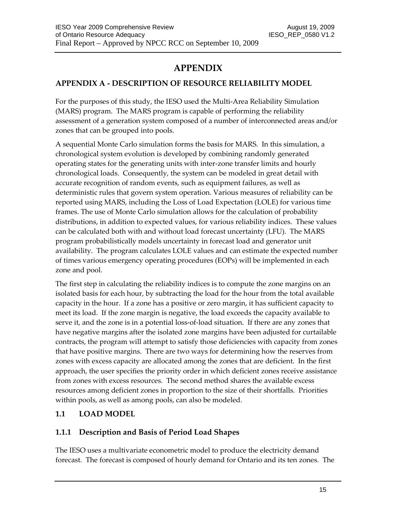# **APPENDIX**

#### **APPENDIX A - DESCRIPTION OF RESOURCE RELIABILITY MODEL**

For the purposes of this study, the IESO used the Multi-Area Reliability Simulation (MARS) program. The MARS program is capable of performing the reliability assessment of a generation system composed of a number of interconnected areas and/or zones that can be grouped into pools.

A sequential Monte Carlo simulation forms the basis for MARS. In this simulation, a chronological system evolution is developed by combining randomly generated operating states for the generating units with inter-zone transfer limits and hourly chronological loads. Consequently, the system can be modeled in great detail with accurate recognition of random events, such as equipment failures, as well as deterministic rules that govern system operation. Various measures of reliability can be reported using MARS, including the Loss of Load Expectation (LOLE) for various time frames. The use of Monte Carlo simulation allows for the calculation of probability distributions, in addition to expected values, for various reliability indices. These values can be calculated both with and without load forecast uncertainty (LFU). The MARS program probabilistically models uncertainty in forecast load and generator unit availability. The program calculates LOLE values and can estimate the expected number of times various emergency operating procedures (EOPs) will be implemented in each zone and pool.

The first step in calculating the reliability indices is to compute the zone margins on an isolated basis for each hour, by subtracting the load for the hour from the total available capacity in the hour. If a zone has a positive or zero margin, it has sufficient capacity to meet its load. If the zone margin is negative, the load exceeds the capacity available to serve it, and the zone is in a potential loss-of-load situation. If there are any zones that have negative margins after the isolated zone margins have been adjusted for curtailable contracts, the program will attempt to satisfy those deficiencies with capacity from zones that have positive margins. There are two ways for determining how the reserves from zones with excess capacity are allocated among the zones that are deficient. In the first approach, the user specifies the priority order in which deficient zones receive assistance from zones with excess resources. The second method shares the available excess resources among deficient zones in proportion to the size of their shortfalls. Priorities within pools, as well as among pools, can also be modeled.

#### **1.1 LOAD MODEL**

#### **1.1.1 Description and Basis of Period Load Shapes**

The IESO uses a multivariate econometric model to produce the electricity demand forecast. The forecast is composed of hourly demand for Ontario and its ten zones. The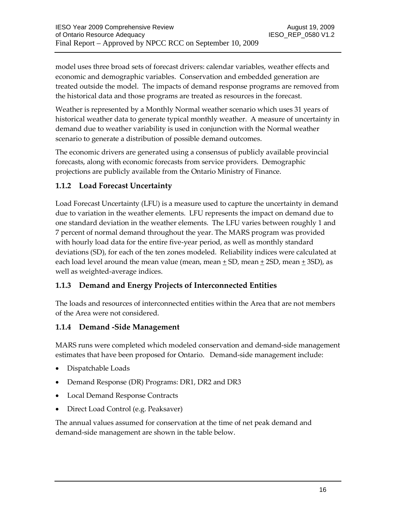model uses three broad sets of forecast drivers: calendar variables, weather effects and economic and demographic variables. Conservation and embedded generation are treated outside the model. The impacts of demand response programs are removed from the historical data and those programs are treated as resources in the forecast.

Weather is represented by a Monthly Normal weather scenario which uses 31 years of historical weather data to generate typical monthly weather. A measure of uncertainty in demand due to weather variability is used in conjunction with the Normal weather scenario to generate a distribution of possible demand outcomes.

The economic drivers are generated using a consensus of publicly available provincial forecasts, along with economic forecasts from service providers. Demographic projections are publicly available from the Ontario Ministry of Finance.

#### **1.1.2 Load Forecast Uncertainty**

Load Forecast Uncertainty (LFU) is a measure used to capture the uncertainty in demand due to variation in the weather elements. LFU represents the impact on demand due to one standard deviation in the weather elements. The LFU varies between roughly 1 and 7 percent of normal demand throughout the year. The MARS program was provided with hourly load data for the entire five-year period, as well as monthly standard deviations (SD), for each of the ten zones modeled. Reliability indices were calculated at each load level around the mean value (mean, mean  $\pm$  SD, mean  $\pm$  2SD, mean  $\pm$  3SD), as well as weighted-average indices.

#### **1.1.3 Demand and Energy Projects of Interconnected Entities**

The loads and resources of interconnected entities within the Area that are not members of the Area were not considered.

#### **1.1.4 Demand -Side Management**

MARS runs were completed which modeled conservation and demand-side management estimates that have been proposed for Ontario. Demand-side management include:

- Dispatchable Loads
- Demand Response (DR) Programs: DR1, DR2 and DR3
- Local Demand Response Contracts
- Direct Load Control (e.g. Peaksaver)

The annual values assumed for conservation at the time of net peak demand and demand-side management are shown in the table below.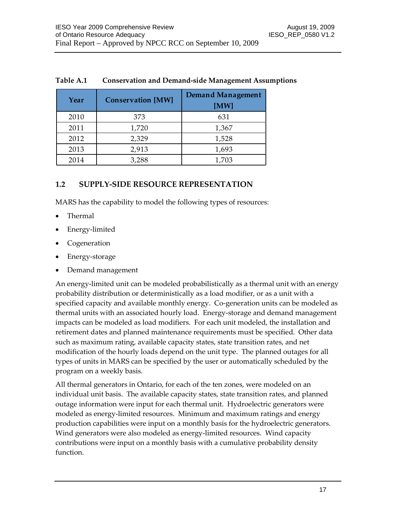| Year | <b>Conservation [MW]</b> | Demand Management<br>[MW] |
|------|--------------------------|---------------------------|
| 2010 | 373                      | 631                       |
| 2011 | 1,720                    | 1,367                     |
| 2012 | 2,329                    | 1,528                     |
| 2013 | 2,913                    | 1,693                     |
| 2014 | 3,288                    | 1,703                     |

#### **Table A.1 Conservation and Demand-side Management Assumptions**

#### **1.2 SUPPLY-SIDE RESOURCE REPRESENTATION**

MARS has the capability to model the following types of resources:

- Thermal
- Energy-limited
- **Cogeneration**
- Energy-storage
- Demand management

An energy-limited unit can be modeled probabilistically as a thermal unit with an energy probability distribution or deterministically as a load modifier, or as a unit with a specified capacity and available monthly energy. Co-generation units can be modeled as thermal units with an associated hourly load. Energy-storage and demand management impacts can be modeled as load modifiers. For each unit modeled, the installation and retirement dates and planned maintenance requirements must be specified. Other data such as maximum rating, available capacity states, state transition rates, and net modification of the hourly loads depend on the unit type. The planned outages for all types of units in MARS can be specified by the user or automatically scheduled by the program on a weekly basis.

All thermal generators in Ontario, for each of the ten zones, were modeled on an individual unit basis. The available capacity states, state transition rates, and planned outage information were input for each thermal unit. Hydroelectric generators were modeled as energy-limited resources. Minimum and maximum ratings and energy production capabilities were input on a monthly basis for the hydroelectric generators. Wind generators were also modeled as energy-limited resources. Wind capacity contributions were input on a monthly basis with a cumulative probability density function.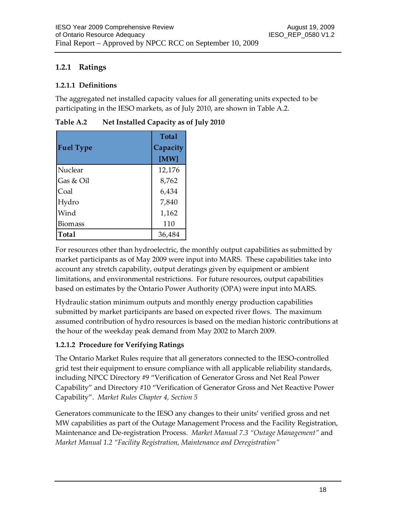## **1.2.1 Ratings**

#### **1.2.1.1 Definitions**

The aggregated net installed capacity values for all generating units expected to be participating in the IESO markets, as of July 2010, are shown in Table A.2.

|                  | <b>Total</b> |
|------------------|--------------|
| <b>Fuel Type</b> | Capacity     |
|                  | [MW]         |
| Nuclear          | 12,176       |
| Gas & Oil        | 8,762        |
| Coal             | 6,434        |
| Hydro            | 7,840        |
| Wind             | 1,162        |
| <b>Biomass</b>   | 110          |
| Total            | 36,484       |

**Table A.2 Net Installed Capacity as of July 2010**

For resources other than hydroelectric, the monthly output capabilities as submitted by market participants as of May 2009 were input into MARS. These capabilities take into account any stretch capability, output deratings given by equipment or ambient limitations, and environmental restrictions. For future resources, output capabilities based on estimates by the Ontario Power Authority (OPA) were input into MARS.

Hydraulic station minimum outputs and monthly energy production capabilities submitted by market participants are based on expected river flows. The maximum assumed contribution of hydro resources is based on the median historic contributions at the hour of the weekday peak demand from May 2002 to March 2009.

#### **1.2.1.2 Procedure for Verifying Ratings**

The Ontario Market Rules require that all generators connected to the IESO-controlled grid test their equipment to ensure compliance with all applicable reliability standards, including NPCC Directory #9 "Verification of Generator Gross and Net Real Power Capability" and Directory #10 "Verification of Generator Gross and Net Reactive Power Capability". *Market Rules Chapter 4, Section 5*

Generators communicate to the IESO any changes to their units' verified gross and net MW capabilities as part of the Outage Management Process and the Facility Registration, Maintenance and De-registration Process. *Market Manual 7.3 "Outage Management"* and *Market Manual 1.2 "Facility Registration, Maintenance and Deregistration"*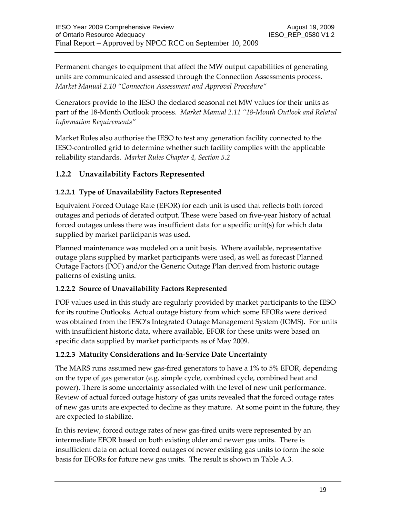Permanent changes to equipment that affect the MW output capabilities of generating units are communicated and assessed through the Connection Assessments process. *Market Manual 2.10 "Connection Assessment and Approval Procedure"*

Generators provide to the IESO the declared seasonal net MW values for their units as part of the 18-Month Outlook process. *Market Manual 2.11 "18-Month Outlook and Related Information Requirements"*

Market Rules also authorise the IESO to test any generation facility connected to the IESO-controlled grid to determine whether such facility complies with the applicable reliability standards. *Market Rules Chapter 4, Section 5.2*

## **1.2.2 Unavailability Factors Represented**

#### **1.2.2.1 Type of Unavailability Factors Represented**

Equivalent Forced Outage Rate (EFOR) for each unit is used that reflects both forced outages and periods of derated output. These were based on five-year history of actual forced outages unless there was insufficient data for a specific unit(s) for which data supplied by market participants was used.

Planned maintenance was modeled on a unit basis. Where available, representative outage plans supplied by market participants were used, as well as forecast Planned Outage Factors (POF) and/or the Generic Outage Plan derived from historic outage patterns of existing units.

#### **1.2.2.2 Source of Unavailability Factors Represented**

POF values used in this study are regularly provided by market participants to the IESO for its routine Outlooks. Actual outage history from which some EFORs were derived was obtained from the IESO's Integrated Outage Management System (IOMS). For units with insufficient historic data, where available, EFOR for these units were based on specific data supplied by market participants as of May 2009.

#### **1.2.2.3 Maturity Considerations and In-Service Date Uncertainty**

The MARS runs assumed new gas-fired generators to have a 1% to 5% EFOR, depending on the type of gas generator (e.g. simple cycle, combined cycle, combined heat and power). There is some uncertainty associated with the level of new unit performance. Review of actual forced outage history of gas units revealed that the forced outage rates of new gas units are expected to decline as they mature. At some point in the future, they are expected to stabilize.

In this review, forced outage rates of new gas-fired units were represented by an intermediate EFOR based on both existing older and newer gas units. There is insufficient data on actual forced outages of newer existing gas units to form the sole basis for EFORs for future new gas units. The result is shown in Table A.3.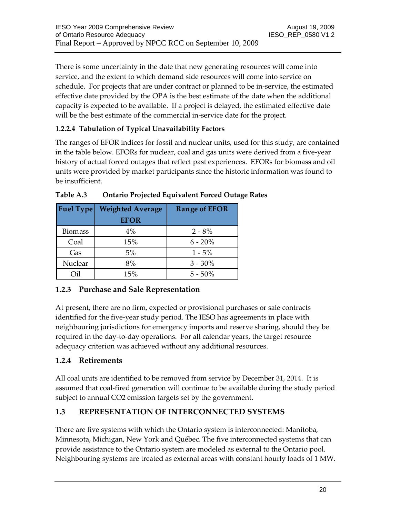There is some uncertainty in the date that new generating resources will come into service, and the extent to which demand side resources will come into service on schedule. For projects that are under contract or planned to be in-service, the estimated effective date provided by the OPA is the best estimate of the date when the additional capacity is expected to be available. If a project is delayed, the estimated effective date will be the best estimate of the commercial in-service date for the project.

#### **1.2.2.4 Tabulation of Typical Unavailability Factors**

The ranges of EFOR indices for fossil and nuclear units, used for this study, are contained in the table below. EFORs for nuclear, coal and gas units were derived from a five-year history of actual forced outages that reflect past experiences. EFORs for biomass and oil units were provided by market participants since the historic information was found to be insufficient.

| <b>Fuel Type</b> | <b>Weighted Average</b><br><b>EFOR</b> | <b>Range of EFOR</b> |
|------------------|----------------------------------------|----------------------|
| <b>Biomass</b>   | $4\%$                                  | $2 - 8\%$            |
| Coal             | 15%                                    | $6 - 20%$            |
| Gas              | 5%                                     | $1 - 5\%$            |
| Nuclear          | 8%                                     | $3 - 30\%$           |
| ∩il              | 15%                                    | $5 - 50\%$           |

**Table A.3 Ontario Projected Equivalent Forced Outage Rates**

## **1.2.3 Purchase and Sale Representation**

At present, there are no firm, expected or provisional purchases or sale contracts identified for the five-year study period. The IESO has agreements in place with neighbouring jurisdictions for emergency imports and reserve sharing, should they be required in the day-to-day operations. For all calendar years, the target resource adequacy criterion was achieved without any additional resources.

## **1.2.4 Retirements**

All coal units are identified to be removed from service by December 31, 2014. It is assumed that coal-fired generation will continue to be available during the study period subject to annual CO2 emission targets set by the government.

## **1.3 REPRESENTATION OF INTERCONNECTED SYSTEMS**

There are five systems with which the Ontario system is interconnected: Manitoba, Minnesota, Michigan, New York and Québec. The five interconnected systems that can provide assistance to the Ontario system are modeled as external to the Ontario pool. Neighbouring systems are treated as external areas with constant hourly loads of 1 MW.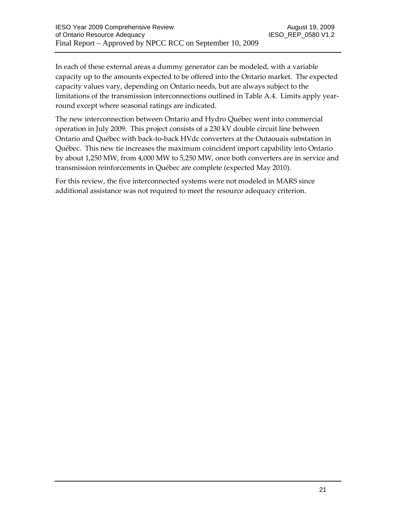In each of these external areas a dummy generator can be modeled, with a variable capacity up to the amounts expected to be offered into the Ontario market. The expected capacity values vary, depending on Ontario needs, but are always subject to the limitations of the transmission interconnections outlined in Table A.4. Limits apply yearround except where seasonal ratings are indicated.

The new interconnection between Ontario and Hydro Québec went into commercial operation in July 2009. This project consists of a 230 kV double circuit line between Ontario and Québec with back-to-back HVdc converters at the Outaouais substation in Québec. This new tie increases the maximum coincident import capability into Ontario by about 1,250 MW, from 4,000 MW to 5,250 MW, once both converters are in service and transmission reinforcements in Québec are complete (expected May 2010).

For this review, the five interconnected systems were not modeled in MARS since additional assistance was not required to meet the resource adequacy criterion.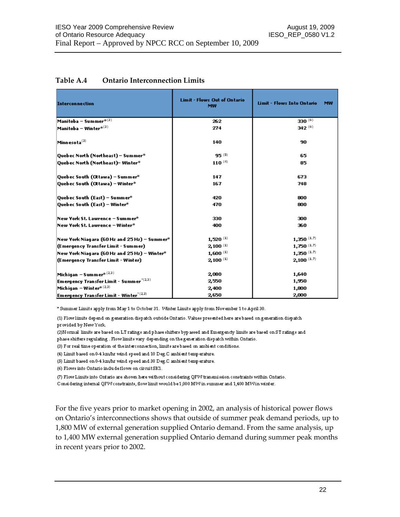| <b>Interconnection</b>                                     | <b>Limit - Flows Out of Ontario</b><br>MW | Limit - Flows Into Ontario<br>MW |
|------------------------------------------------------------|-------------------------------------------|----------------------------------|
| Manitoba — Summer*(3)                                      | 262                                       | $330^{(6)}$                      |
| Manitoba — Winter* <sup>(3)</sup>                          | 274                                       | $342^{(6)}$                      |
| Minnesota <sup>(3)</sup>                                   | 140                                       | 90                               |
| Quebec North (Northeast) — Summer*                         | $95^{(5)}$                                | 65                               |
| Quebec North (Northeast)— Winter*                          | 110 $(4)$                                 | 85                               |
| Quebec South (Ottawa) — Summer*                            | 147                                       | 673                              |
| Quebec South (Ottawa) — Winter*                            | 167                                       | 748                              |
| Quebec South (East) — Summer*                              | 420                                       | 800                              |
| Quebec South (East) — Winter*                              | 470                                       | 800                              |
| New York St. Lawrence — Summer*                            | 330                                       | 300                              |
| New York St. Lawrence — Winter*                            | 400                                       | 360                              |
| New York Niagara (60 Hz and 25 Hz) — Summer*               | $1,520$ <sup>(1)</sup>                    | $1,350$ $^{(1,7)}$               |
| (Emergency Transfer Limit - Summer)                        | 2,100(1)                                  | $1,750$ $(1,7)$                  |
| New York Niagara (60 Hz and 25 Hz) — Winter*               | 1,600(1)                                  | $1,350$ $^{(1,7)}$               |
| (Emergency Transfer Limit - Winter)                        | $2,100$ <sup>(1)</sup>                    | $2,100$ $(1,7)$                  |
| Michigan $-$ Summer $*$ <sup>(2,3)</sup>                   | 2,080                                     | 1,640                            |
| Emergency Transfer Limit - Summer"(23)                     | 2550                                      | 1,950                            |
| Michigan $-W$ inter $*$ <sup>(2,3)</sup>                   | 2,400                                     | 1,800                            |
| <b>Emergency Transfer Limit - Winter</b> <sup>*(2,3)</sup> | 2,650                                     | 2,000                            |

#### **Table A.4 Ontario Interconnection Limits**

\* Summer Limits apply from May 1 to October 31. Winter Limits apply from November 1 to April 30.

(1) Flow limits depend on generation dispatch outside Ontario. Values presented here are based on generation dispatch provided by New York.

(2) Normal limits are based on LT ratings and phase shifters bypassed and Emergencty limits are based on ST ratings and phase shifters regulating. Flow limits vary depending on the generation dispatch within Ontario.

(3) For real time operation of the interconnection, limits are based on ambient conditions.

(4) Limit based on 0-4 km/hr wind speed and 10 Deg.C ambient temperature.

(5) Limit based on 0-4 km/hr wind speed and 30 Deg.C ambient temperature.

(6) Flows into Ontario indudeflows on circuitSK1.

(7) Flow Limits into Ontario are shown here without considering QFW transmission constraints within Ontario.

Considering internal QFW constraints, flow limit would be 1,000 MW in summer and 1,400 MW in wirder.

For the five years prior to market opening in 2002, an analysis of historical power flows on Ontario's interconnections shows that outside of summer peak demand periods, up to 1,800 MW of external generation supplied Ontario demand. From the same analysis, up to 1,400 MW external generation supplied Ontario demand during summer peak months in recent years prior to 2002.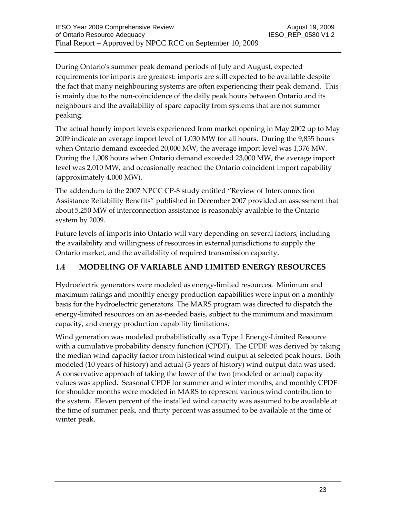During Ontario's summer peak demand periods of July and August, expected requirements for imports are greatest: imports are still expected to be available despite the fact that many neighbouring systems are often experiencing their peak demand. This is mainly due to the non-coincidence of the daily peak hours between Ontario and its neighbours and the availability of spare capacity from systems that are not summer peaking.

The actual hourly import levels experienced from market opening in May 2002 up to May 2009 indicate an average import level of 1,030 MW for all hours. During the 9,855 hours when Ontario demand exceeded 20,000 MW, the average import level was 1,376 MW. During the 1,008 hours when Ontario demand exceeded 23,000 MW, the average import level was 2,010 MW, and occasionally reached the Ontario coincident import capability (approximately 4,000 MW).

The addendum to the 2007 NPCC CP-8 study entitled "Review of Interconnection Assistance Reliability Benefits" published in December 2007 provided an assessment that about 5,250 MW of interconnection assistance is reasonably available to the Ontario system by 2009.

Future levels of imports into Ontario will vary depending on several factors, including the availability and willingness of resources in external jurisdictions to supply the Ontario market, and the availability of required transmission capacity.

#### **1.4 MODELING OF VARIABLE AND LIMITED ENERGY RESOURCES**

Hydroelectric generators were modeled as energy-limited resources. Minimum and maximum ratings and monthly energy production capabilities were input on a monthly basis for the hydroelectric generators. The MARS program was directed to dispatch the energy-limited resources on an as-needed basis, subject to the minimum and maximum capacity, and energy production capability limitations.

Wind generation was modeled probabilistically as a Type 1 Energy-Limited Resource with a cumulative probability density function (CPDF). The CPDF was derived by taking the median wind capacity factor from historical wind output at selected peak hours. Both modeled (10 years of history) and actual (3 years of history) wind output data was used. A conservative approach of taking the lower of the two (modeled or actual) capacity values was applied. Seasonal CPDF for summer and winter months, and monthly CPDF for shoulder months were modeled in MARS to represent various wind contribution to the system. Eleven percent of the installed wind capacity was assumed to be available at the time of summer peak, and thirty percent was assumed to be available at the time of winter peak.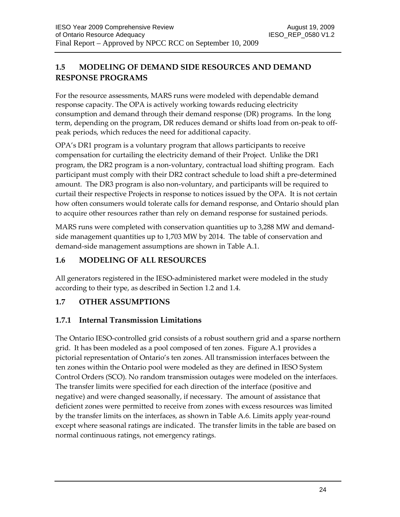## **1.5 MODELING OF DEMAND SIDE RESOURCES AND DEMAND RESPONSE PROGRAMS**

For the resource assessments, MARS runs were modeled with dependable demand response capacity. The OPA is actively working towards reducing electricity consumption and demand through their demand response (DR) programs. In the long term, depending on the program, DR reduces demand or shifts load from on-peak to offpeak periods, which reduces the need for additional capacity.

OPA's DR1 program is a voluntary program that allows participants to receive compensation for curtailing the electricity demand of their Project. Unlike the DR1 program, the DR2 program is a non-voluntary, contractual load shifting program. Each participant must comply with their DR2 contract schedule to load shift a pre-determined amount. The DR3 program is also non-voluntary, and participants will be required to curtail their respective Projects in response to notices issued by the OPA. It is not certain how often consumers would tolerate calls for demand response, and Ontario should plan to acquire other resources rather than rely on demand response for sustained periods.

MARS runs were completed with conservation quantities up to 3,288 MW and demandside management quantities up to 1,703 MW by 2014. The table of conservation and demand-side management assumptions are shown in Table A.1.

## **1.6 MODELING OF ALL RESOURCES**

All generators registered in the IESO-administered market were modeled in the study according to their type, as described in Section 1.2 and 1.4.

## **1.7 OTHER ASSUMPTIONS**

## **1.7.1 Internal Transmission Limitations**

The Ontario IESO-controlled grid consists of a robust southern grid and a sparse northern grid. It has been modeled as a pool composed of ten zones. Figure A.1 provides a pictorial representation of Ontario's ten zones. All transmission interfaces between the ten zones within the Ontario pool were modeled as they are defined in IESO System Control Orders (SCO). No random transmission outages were modeled on the interfaces. The transfer limits were specified for each direction of the interface (positive and negative) and were changed seasonally, if necessary. The amount of assistance that deficient zones were permitted to receive from zones with excess resources was limited by the transfer limits on the interfaces, as shown in Table A.6. Limits apply year-round except where seasonal ratings are indicated. The transfer limits in the table are based on normal continuous ratings, not emergency ratings.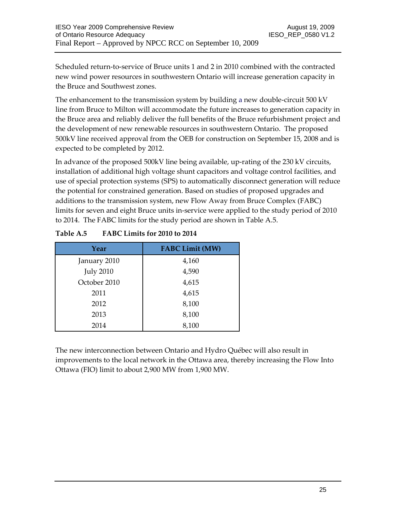Scheduled return-to-service of Bruce units 1 and 2 in 2010 combined with the contracted new wind power resources in southwestern Ontario will increase generation capacity in the Bruce and Southwest zones.

The enhancement to the transmission system by building a new double-circuit 500 kV line from Bruce to Milton will accommodate the future increases to generation capacity in the Bruce area and reliably deliver the full benefits of the Bruce refurbishment project and the development of new renewable resources in southwestern Ontario. The proposed 500kV line received approval from the OEB for construction on September 15, 2008 and is expected to be completed by 2012.

In advance of the proposed 500kV line being available, up-rating of the 230 kV circuits, installation of additional high voltage shunt capacitors and voltage control facilities, and use of special protection systems (SPS) to automatically disconnect generation will reduce the potential for constrained generation. Based on studies of proposed upgrades and additions to the transmission system, new Flow Away from Bruce Complex (FABC) limits for seven and eight Bruce units in-service were applied to the study period of 2010 to 2014. The FABC limits for the study period are shown in Table A.5.

| Year             | <b>FABC Limit (MW)</b> |
|------------------|------------------------|
| January 2010     | 4,160                  |
| <b>July 2010</b> | 4,590                  |
| October 2010     | 4,615                  |
| 2011             | 4,615                  |
| 2012             | 8,100                  |
| 2013             | 8,100                  |
| 2014             | 8,100                  |

| Table A.5 | FABC Limits for 2010 to 2014 |
|-----------|------------------------------|
|           |                              |

The new interconnection between Ontario and Hydro Québec will also result in improvements to the local network in the Ottawa area, thereby increasing the Flow Into Ottawa (FIO) limit to about 2,900 MW from 1,900 MW.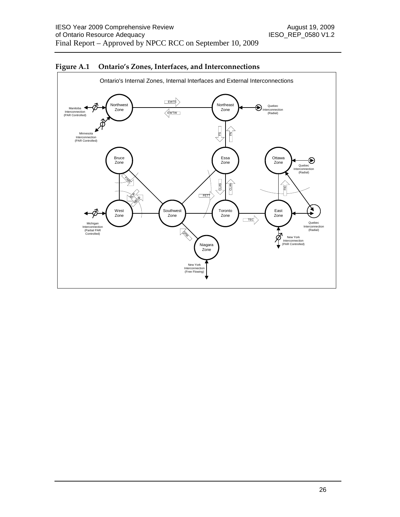

#### **Figure A.1 Ontario's Zones, Interfaces, and Interconnections**